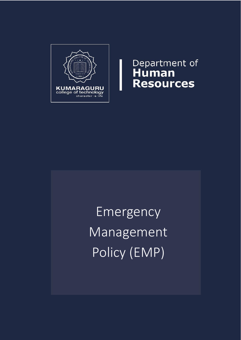

i I I I I Department of<br>**Human**<br>Resources

Emergency Management Policy (EMP) í í ł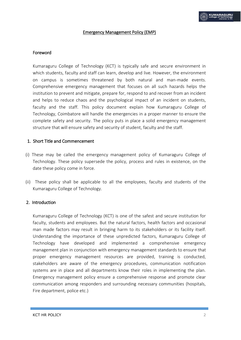#### Emergency Management Policy (EMP)

#### Foreword

Kumaraguru College of Technology (KCT) is typically safe and secure environment in which students, faculty and staff can learn, develop and live. However, the environment on campus is sometimes threatened by both natural and man-made events. Comprehensive emergency management that focuses on all such hazards helps the institution to prevent and mitigate, prepare for, respond to and recover from an incident and helps to reduce chaos and the psychological impact of an incident on students, faculty and the staff. This policy document explain how Kumaraguru College of Technology, Coimbatore will handle the emergencies in a proper manner to ensure the complete safety and security. The policy puts in place a solid emergency management structure that will ensure safety and security of student, faculty and the staff.

#### 1. Short Title and Commencement

- (i) These may be called the emergency management policy of Kumaraguru College of Technology. These policy supersede the policy, process and rules in existence, on the date these policy come in force.
- (ii) These policy shall be applicable to all the employees, faculty and students of the Kumaraguru College of Technology.

#### 2. Introduction

Kumaraguru College of Technology (KCT) is one of the safest and secure institution for faculty, students and employees. But the natural factors, health factors and occasional man made factors may result in bringing harm to its stakeholders or its facility itself. Understanding the importance of these unpredicted factors, Kumaraguru College of Technology have developed and implemented a comprehensive emergency management plan in conjunction with emergency management standards to ensure that proper emergency management resources are provided, training is conducted, stakeholders are aware of the emergency procedures, communication notification systems are in place and all departments know their roles in implementing the plan. Emergency management policy ensure a comprehensive response and promote clear communication among responders and surrounding necessary communities (hospitals, Fire department, police etc.)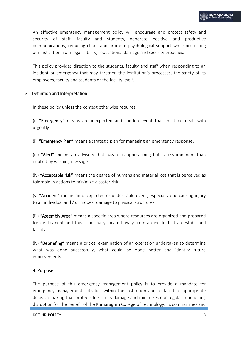

An effective emergency management policy will encourage and protect safety and security of staff, faculty and students, generate positive and productive communications, reducing chaos and promote psychological support while protecting our institution from legal liability, reputational damage and security breaches.

This policy provides direction to the students, faculty and staff when responding to an incident or emergency that may threaten the institution's processes, the safety of its employees, faculty and students or the facility itself.

# 3. Definition and Interpretation

In these policy unless the context otherwise requires

(i) "Emergency" means an unexpected and sudden event that must be dealt with urgently.

(ii) "Emergency Plan" means a strategic plan for managing an emergency response.

(iii) "Alert" means an advisory that hazard is approaching but is less imminent than implied by warning message.

(iv) "Acceptable risk" means the degree of humans and material loss that is perceived as tolerable in actions to minimize disaster risk.

(v) "Accident" means an unexpected or undesirable event, especially one causing injury to an individual and / or modest damage to physical structures.

(iii) "Assembly Area" means a specific area where resources are organized and prepared for deployment and this is normally located away from an incident at an established facility.

(iv) "Debriefing" means a critical examination of an operation undertaken to determine what was done successfully, what could be done better and identify future improvements.

# 4. Purpose

The purpose of this emergency management policy is to provide a mandate for emergency management activities within the institution and to facilitate appropriate decision-making that protects life, limits damage and minimizes our regular functioning disruption for the benefit of the Kumaraguru College of Technology, its communities and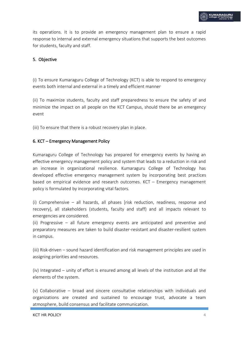

its operations. It is to provide an emergency management plan to ensure a rapid response to internal and external emergency situations that supports the best outcomes for students, faculty and staff.

#### 5. Objective

(i) To ensure Kumaraguru College of Technology (KCT) is able to respond to emergency events both internal and external in a timely and efficient manner

(ii) To maximize students, faculty and staff preparedness to ensure the safety of and minimize the impact on all people on the KCT Campus, should there be an emergency event

(iii) To ensure that there is a robust recovery plan in place.

#### 6. KCT – Emergency Management Policy

Kumaraguru College of Technology has prepared for emergency events by having an effective emergency management policy and system that leads to a reduction in risk and an increase in organizational resilience. Kumaraguru College of Technology has developed effective emergency management system by incorporating best practices based on empirical evidence and research outcomes. KCT – Emergency management policy is formulated by incorporating vital factors.

(i) Comprehensive – all hazards, all phases [risk reduction, readiness, response and recovery], all stakeholders (students, faculty and staff) and all impacts relevant to emergencies are considered.

(ii) Progressive – all future emergency events are anticipated and preventive and preparatory measures are taken to build disaster-resistant and disaster-resilient system in campus.

(iii) Risk-driven – sound hazard identification and risk management principles are used in assigning priorities and resources.

(iv) Integrated – unity of effort is ensured among all levels of the institution and all the elements of the system.

(v) Collaborative – broad and sincere consultative relationships with individuals and organizations are created and sustained to encourage trust, advocate a team atmosphere, build consensus and facilitate communication.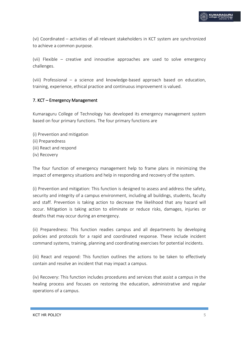

(vi) Coordinated – activities of all relevant stakeholders in KCT system are synchronized to achieve a common purpose.

(vii) Flexible – creative and innovative approaches are used to solve emergency challenges.

(viii) Professional – a science and knowledge-based approach based on education, training, experience, ethical practice and continuous improvement is valued.

# 7. KCT – Emergency Management

Kumaraguru College of Technology has developed its emergency management system based on four primary functions. The four primary functions are

(i) Prevention and mitigation (ii) Preparedness (iii) React and respond (iv) Recovery

The four function of emergency management help to frame plans in minimizing the impact of emergency situations and help in responding and recovery of the system.

(i) Prevention and mitigation: This function is designed to assess and address the safety, security and integrity of a campus environment, including all buildings, students, faculty and staff. Prevention is taking action to decrease the likelihood that any hazard will occur. Mitigation is taking action to eliminate or reduce risks, damages, injuries or deaths that may occur during an emergency.

(ii) Preparedness: This function readies campus and all departments by developing policies and protocols for a rapid and coordinated response. These include incident command systems, training, planning and coordinating exercises for potential incidents.

(iii) React and respond: This function outlines the actions to be taken to effectively contain and resolve an incident that may impact a campus.

(iv) Recovery: This function includes procedures and services that assist a campus in the healing process and focuses on restoring the education, administrative and regular operations of a campus.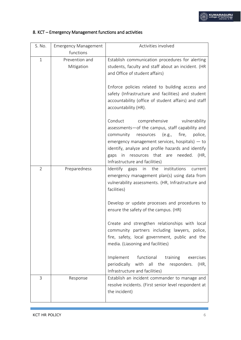

# 8. KCT – Emergency Management functions and activities

| S. No.         | <b>Emergency Management</b>  | Activities involved                                                                                                                                                                                                                                                                                                                               |
|----------------|------------------------------|---------------------------------------------------------------------------------------------------------------------------------------------------------------------------------------------------------------------------------------------------------------------------------------------------------------------------------------------------|
|                | functions                    |                                                                                                                                                                                                                                                                                                                                                   |
| $\mathbf{1}$   | Prevention and<br>Mitigation | Establish communication procedures for alerting<br>students, faculty and staff about an incident. (HR<br>and Office of student affairs)                                                                                                                                                                                                           |
|                |                              | Enforce policies related to building access and<br>safety (Infrastructure and facilities) and student<br>accountability (office of student affairs) and staff<br>accountability (HR).                                                                                                                                                             |
|                |                              | Conduct<br>comprehensive<br>vulnerability<br>assessments-of the campus, staff capability and<br>fire,<br>police,<br>community<br>resources<br>(e.g.,<br>emergency management services, hospitals) $-$ to<br>identify, analyze and profile hazards and identify<br>gaps in resources that<br>are needed.<br>(HR,<br>Infrastructure and facilities) |
| $\overline{2}$ | Preparedness                 | Identify<br>the<br>institutions<br>gaps<br>in<br>current<br>emergency management plan(s) using data from<br>vulnerability assessments. (HR, Infrastructure and<br>facilities)<br>Develop or update processes and procedures to                                                                                                                    |
|                |                              | ensure the safety of the campus. (HR)<br>Create and strengthen relationships with local<br>community partners including lawyers, police,<br>fire, safety, local government, public and the<br>media. (Liasoning and facilities)                                                                                                                   |
|                |                              | functional<br>Implement<br>training<br>exercises<br>with all the<br>periodically<br>responders.<br>(HR,<br>Infrastructure and facilities)                                                                                                                                                                                                         |
| 3              | Response                     | Establish an incident commander to manage and<br>resolve incidents. (First senior level respondent at<br>the incident)                                                                                                                                                                                                                            |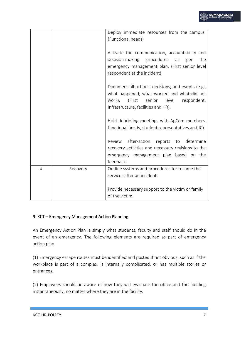

# 9. KCT – Emergency Management Action Planning

An Emergency Action Plan is simply what students, faculty and staff should do in the event of an emergency. The following elements are required as part of emergency action plan

(1) Emergency escape routes must be identified and posted if not obvious, such as if the workplace is part of a complex, is internally complicated, or has multiple stories or entrances.

(2) Employees should be aware of how they will evacuate the office and the building instantaneously, no matter where they are in the facility.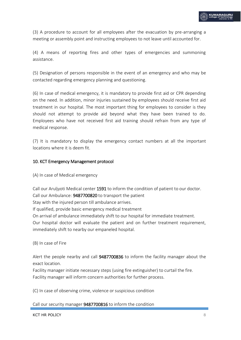

(3) A procedure to account for all employees after the evacuation by pre-arranging a meeting or assembly point and instructing employees to not leave until accounted for.

(4) A means of reporting fires and other types of emergencies and summoning assistance.

(5) Designation of persons responsible in the event of an emergency and who may be contacted regarding emergency planning and questioning.

(6) In case of medical emergency, it is mandatory to provide first aid or CPR depending on the need. In addition, minor injuries sustained by employees should receive first aid treatment in our hospital. The most important thing for employees to consider is they should not attempt to provide aid beyond what they have been trained to do. Employees who have not received first aid training should refrain from any type of medical response.

(7) It is mandatory to display the emergency contact numbers at all the important locations where it is deem fit.

# 10. KCT Emergency Management protocol

(A) In case of Medical emergency

Call our Aruljyoti Medical center 1591 to inform the condition of patient to our doctor. Call our Ambulance: 9487700820 to transport the patient Stay with the injured person till ambulance arrives.

If qualified, provide basic emergency medical treatment

On arrival of ambulance immediately shift to our hospital for immediate treatment.

Our hospital doctor will evaluate the patient and on further treatment requirement, immediately shift to nearby our empaneled hospital.

(B) In case of Fire

Alert the people nearby and call 9487700836 to inform the facility manager about the exact location.

Facility manager initiate necessary steps (using fire extinguisher) to curtail the fire. Facility manager will inform concern authorities for further process.

(C) In case of observing crime, violence or suspicious condition

# Call our security manager 9487700816 to inform the condition

KCT HR POLICY 8